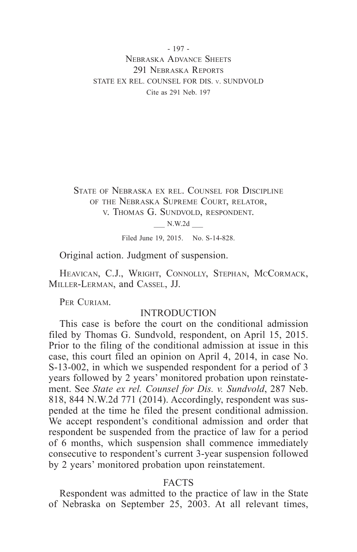- 197 - Nebraska Advance Sheets 291 NEBRASKA REPORTS STATE EX REL. COUNSEL FOR DIS. v. SUNDVOLD Cite as 291 Neb. 197

State of Nebraska ex rel. Counsel for Discipline of the Nebraska Supreme Court, relator, v. Thomas G. Sundvold, respondent.

\_\_\_ N.W.2d \_\_\_

Filed June 19, 2015. No. S-14-828.

Original action. Judgment of suspension.

Heavican, C.J., Wright, Connolly, Stephan, McCormack, Miller-Lerman, and Cassel, JJ.

PER CURIAM.

## INTRODUCTION

This case is before the court on the conditional admission filed by Thomas G. Sundvold, respondent, on April 15, 2015. Prior to the filing of the conditional admission at issue in this case, this court filed an opinion on April 4, 2014, in case No. S-13-002, in which we suspended respondent for a period of 3 years followed by 2 years' monitored probation upon reinstatement. See *State ex rel. Counsel for Dis. v. Sundvold*, 287 Neb. 818, 844 N.W.2d 771 (2014). Accordingly, respondent was suspended at the time he filed the present conditional admission. We accept respondent's conditional admission and order that respondent be suspended from the practice of law for a period of 6 months, which suspension shall commence immediately consecutive to respondent's current 3-year suspension followed by 2 years' monitored probation upon reinstatement.

### FACTS

Respondent was admitted to the practice of law in the State of Nebraska on September 25, 2003. At all relevant times,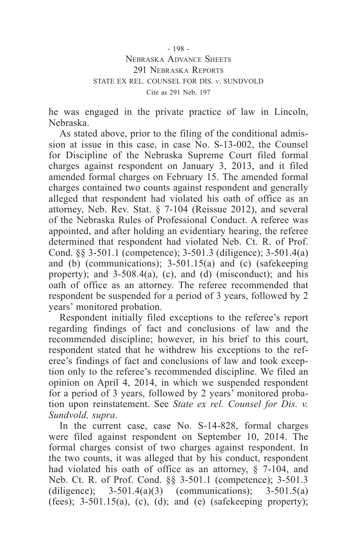- 198 - Nebraska Advance Sheets 291 NEBRASKA REPORTS STATE EX REL. COUNSEL FOR DIS. v. SUNDVOLD Cite as 291 Neb. 197

he was engaged in the private practice of law in Lincoln, Nebraska.

As stated above, prior to the filing of the conditional admission at issue in this case, in case No. S-13-002, the Counsel for Discipline of the Nebraska Supreme Court filed formal charges against respondent on January 3, 2013, and it filed amended formal charges on February 15. The amended formal charges contained two counts against respondent and generally alleged that respondent had violated his oath of office as an attorney, Neb. Rev. Stat. § 7-104 (Reissue 2012), and several of the Nebraska Rules of Professional Conduct. A referee was appointed, and after holding an evidentiary hearing, the referee determined that respondent had violated Neb. Ct. R. of Prof. Cond. §§ 3-501.1 (competence); 3-501.3 (diligence); 3-501.4(a) and (b) (communications); 3-501.15(a) and (c) (safekeeping property); and  $3-508.4(a)$ , (c), and (d) (misconduct); and his oath of office as an attorney. The referee recommended that respondent be suspended for a period of 3 years, followed by 2 years' monitored probation.

Respondent initially filed exceptions to the referee's report regarding findings of fact and conclusions of law and the recommended discipline; however, in his brief to this court, respondent stated that he withdrew his exceptions to the referee's findings of fact and conclusions of law and took exception only to the referee's recommended discipline. We filed an opinion on April 4, 2014, in which we suspended respondent for a period of 3 years, followed by 2 years' monitored probation upon reinstatement. See *State ex rel. Counsel for Dis. v. Sundvold, supra*.

In the current case, case No. S-14-828, formal charges were filed against respondent on September 10, 2014. The formal charges consist of two charges against respondent. In the two counts, it was alleged that by his conduct, respondent had violated his oath of office as an attorney, § 7-104, and Neb. Ct. R. of Prof. Cond. §§ 3-501.1 (competence); 3-501.3 (diligence);  $3-501.4(a)(3)$  (communications);  $3-501.5(a)$ (fees);  $3-501.15(a)$ , (c), (d); and (e) (safekeeping property);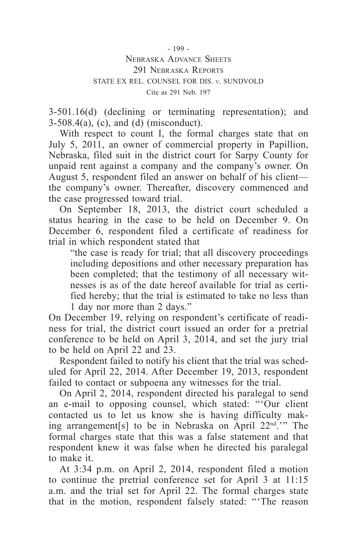### Nebraska Advance Sheets 291 NEBRASKA REPORTS STATE EX REL. COUNSEL FOR DIS. v. SUNDVOLD Cite as 291 Neb. 197

3-501.16(d) (declining or terminating representation); and  $3-508.4(a)$ , (c), and (d) (misconduct).

With respect to count I, the formal charges state that on July 5, 2011, an owner of commercial property in Papillion, Nebraska, filed suit in the district court for Sarpy County for unpaid rent against a company and the company's owner. On August 5, respondent filed an answer on behalf of his client the company's owner. Thereafter, discovery commenced and the case progressed toward trial.

On September 18, 2013, the district court scheduled a status hearing in the case to be held on December 9. On December 6, respondent filed a certificate of readiness for trial in which respondent stated that

"the case is ready for trial; that all discovery proceedings including depositions and other necessary preparation has been completed; that the testimony of all necessary witnesses is as of the date hereof available for trial as certified hereby; that the trial is estimated to take no less than 1 day nor more than 2 days."

On December 19, relying on respondent's certificate of readiness for trial, the district court issued an order for a pretrial conference to be held on April 3, 2014, and set the jury trial to be held on April 22 and 23.

Respondent failed to notify his client that the trial was scheduled for April 22, 2014. After December 19, 2013, respondent failed to contact or subpoena any witnesses for the trial.

On April 2, 2014, respondent directed his paralegal to send an e-mail to opposing counsel, which stated: "'Our client contacted us to let us know she is having difficulty making arrangement[s] to be in Nebraska on April 22nd.'" The formal charges state that this was a false statement and that respondent knew it was false when he directed his paralegal to make it.

At 3:34 p.m. on April 2, 2014, respondent filed a motion to continue the pretrial conference set for April 3 at 11:15 a.m. and the trial set for April 22. The formal charges state that in the motion, respondent falsely stated: "'The reason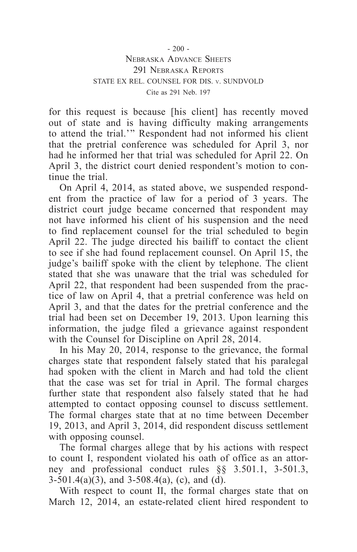#### $-200 -$ Nebraska Advance Sheets 291 NEBRASKA REPORTS STATE EX REL. COUNSEL FOR DIS. v. SUNDVOLD Cite as 291 Neb. 197

for this request is because [his client] has recently moved out of state and is having difficulty making arrangements to attend the trial.'" Respondent had not informed his client that the pretrial conference was scheduled for April 3, nor had he informed her that trial was scheduled for April 22. On April 3, the district court denied respondent's motion to continue the trial.

On April 4, 2014, as stated above, we suspended respondent from the practice of law for a period of 3 years. The district court judge became concerned that respondent may not have informed his client of his suspension and the need to find replacement counsel for the trial scheduled to begin April 22. The judge directed his bailiff to contact the client to see if she had found replacement counsel. On April 15, the judge's bailiff spoke with the client by telephone. The client stated that she was unaware that the trial was scheduled for April 22, that respondent had been suspended from the practice of law on April 4, that a pretrial conference was held on April 3, and that the dates for the pretrial conference and the trial had been set on December 19, 2013. Upon learning this information, the judge filed a grievance against respondent with the Counsel for Discipline on April 28, 2014.

In his May 20, 2014, response to the grievance, the formal charges state that respondent falsely stated that his paralegal had spoken with the client in March and had told the client that the case was set for trial in April. The formal charges further state that respondent also falsely stated that he had attempted to contact opposing counsel to discuss settlement. The formal charges state that at no time between December 19, 2013, and April 3, 2014, did respondent discuss settlement with opposing counsel.

The formal charges allege that by his actions with respect to count I, respondent violated his oath of office as an attorney and professional conduct rules §§ 3.501.1, 3-501.3,  $3-501.4(a)(3)$ , and  $3-508.4(a)$ , (c), and (d).

With respect to count II, the formal charges state that on March 12, 2014, an estate-related client hired respondent to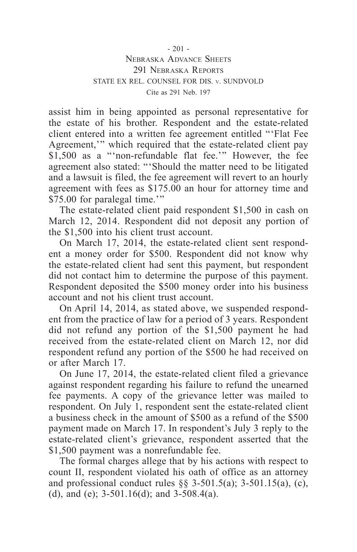assist him in being appointed as personal representative for the estate of his brother. Respondent and the estate-related client entered into a written fee agreement entitled "'Flat Fee Agreement,'" which required that the estate-related client pay \$1,500 as a "'non-refundable flat fee.'" However, the fee agreement also stated: "'Should the matter need to be litigated and a lawsuit is filed, the fee agreement will revert to an hourly agreement with fees as \$175.00 an hour for attorney time and \$75.00 for paralegal time.'"

The estate-related client paid respondent \$1,500 in cash on March 12, 2014. Respondent did not deposit any portion of the \$1,500 into his client trust account.

On March 17, 2014, the estate-related client sent respondent a money order for \$500. Respondent did not know why the estate-related client had sent this payment, but respondent did not contact him to determine the purpose of this payment. Respondent deposited the \$500 money order into his business account and not his client trust account.

On April 14, 2014, as stated above, we suspended respondent from the practice of law for a period of 3 years. Respondent did not refund any portion of the \$1,500 payment he had received from the estate-related client on March 12, nor did respondent refund any portion of the \$500 he had received on or after March 17.

On June 17, 2014, the estate-related client filed a grievance against respondent regarding his failure to refund the unearned fee payments. A copy of the grievance letter was mailed to respondent. On July 1, respondent sent the estate-related client a business check in the amount of \$500 as a refund of the \$500 payment made on March 17. In respondent's July 3 reply to the estate-related client's grievance, respondent asserted that the \$1,500 payment was a nonrefundable fee.

The formal charges allege that by his actions with respect to count II, respondent violated his oath of office as an attorney and professional conduct rules  $\S$ § 3-501.5(a); 3-501.15(a), (c), (d), and (e); 3-501.16(d); and 3-508.4(a).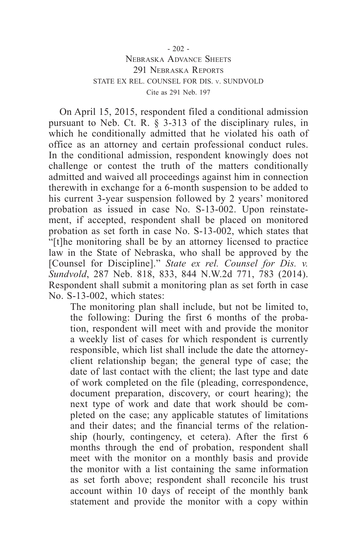#### $-202 -$ Nebraska Advance Sheets 291 NEBRASKA REPORTS STATE EX REL. COUNSEL FOR DIS. v. SUNDVOLD Cite as 291 Neb. 197

On April 15, 2015, respondent filed a conditional admission pursuant to Neb. Ct. R. § 3-313 of the disciplinary rules, in which he conditionally admitted that he violated his oath of office as an attorney and certain professional conduct rules. In the conditional admission, respondent knowingly does not challenge or contest the truth of the matters conditionally admitted and waived all proceedings against him in connection therewith in exchange for a 6-month suspension to be added to his current 3-year suspension followed by 2 years' monitored probation as issued in case No. S-13-002. Upon reinstatement, if accepted, respondent shall be placed on monitored probation as set forth in case No. S-13-002, which states that "[t]he monitoring shall be by an attorney licensed to practice law in the State of Nebraska, who shall be approved by the [Counsel for Discipline]." *State ex rel. Counsel for Dis. v. Sundvold*, 287 Neb. 818, 833, 844 N.W.2d 771, 783 (2014). Respondent shall submit a monitoring plan as set forth in case No. S-13-002, which states:

The monitoring plan shall include, but not be limited to, the following: During the first 6 months of the probation, respondent will meet with and provide the monitor a weekly list of cases for which respondent is currently responsible, which list shall include the date the attorneyclient relationship began; the general type of case; the date of last contact with the client; the last type and date of work completed on the file (pleading, correspondence, document preparation, discovery, or court hearing); the next type of work and date that work should be completed on the case; any applicable statutes of limitations and their dates; and the financial terms of the relationship (hourly, contingency, et cetera). After the first 6 months through the end of probation, respondent shall meet with the monitor on a monthly basis and provide the monitor with a list containing the same information as set forth above; respondent shall reconcile his trust account within 10 days of receipt of the monthly bank statement and provide the monitor with a copy within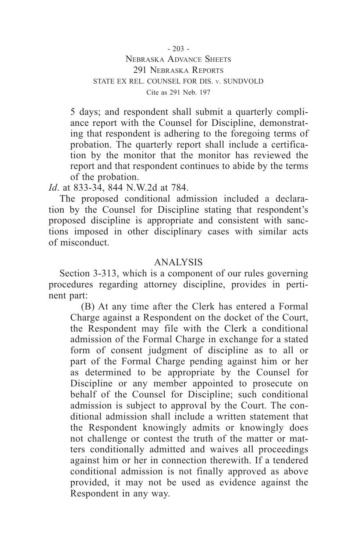5 days; and respondent shall submit a quarterly compliance report with the Counsel for Discipline, demonstrating that respondent is adhering to the foregoing terms of probation. The quarterly report shall include a certification by the monitor that the monitor has reviewed the report and that respondent continues to abide by the terms of the probation.

*Id*. at 833-34, 844 N.W.2d at 784.

The proposed conditional admission included a declaration by the Counsel for Discipline stating that respondent's proposed discipline is appropriate and consistent with sanctions imposed in other disciplinary cases with similar acts of misconduct.

# ANALYSIS

Section 3-313, which is a component of our rules governing procedures regarding attorney discipline, provides in pertinent part:

(B) At any time after the Clerk has entered a Formal Charge against a Respondent on the docket of the Court, the Respondent may file with the Clerk a conditional admission of the Formal Charge in exchange for a stated form of consent judgment of discipline as to all or part of the Formal Charge pending against him or her as determined to be appropriate by the Counsel for Discipline or any member appointed to prosecute on behalf of the Counsel for Discipline; such conditional admission is subject to approval by the Court. The conditional admission shall include a written statement that the Respondent knowingly admits or knowingly does not challenge or contest the truth of the matter or matters conditionally admitted and waives all proceedings against him or her in connection therewith. If a tendered conditional admission is not finally approved as above provided, it may not be used as evidence against the Respondent in any way.